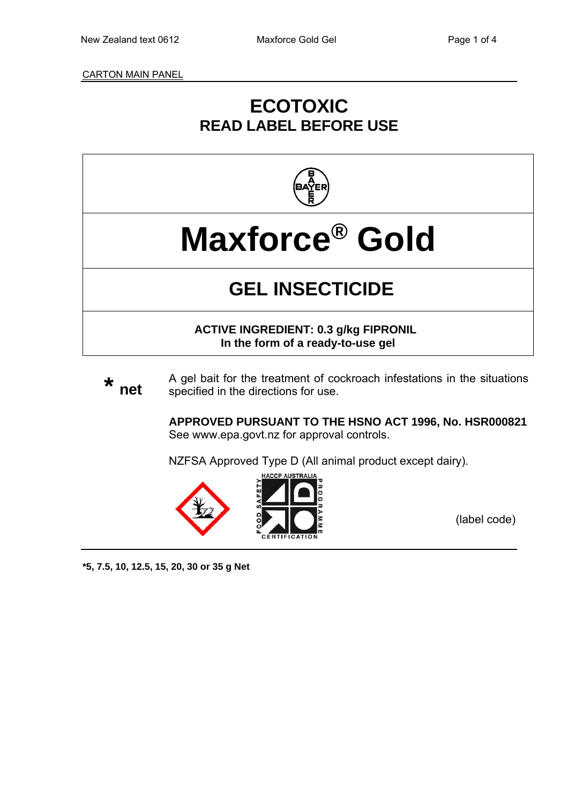CARTON MAIN PANEL

# **ECOTOXIC READ LABEL BEFORE USE**



**Maxforce® Gold**

# **GEL INSECTICIDE**

**ACTIVE INGREDIENT: 0.3 g/kg FIPRONIL In the form of a ready-to-use gel** 

**\* net** A gel bait for the treatment of cockroach infestations in the situations specified in the directions for use.

> **APPROVED PURSUANT TO THE HSNO ACT 1996, No. HSR000821**  See www.epa.govt.nz for approval controls.

NZFSA Approved Type D (All animal product except dairy).



(label code)

**\*5, 7.5, 10, 12.5, 15, 20, 30 or 35 g Net**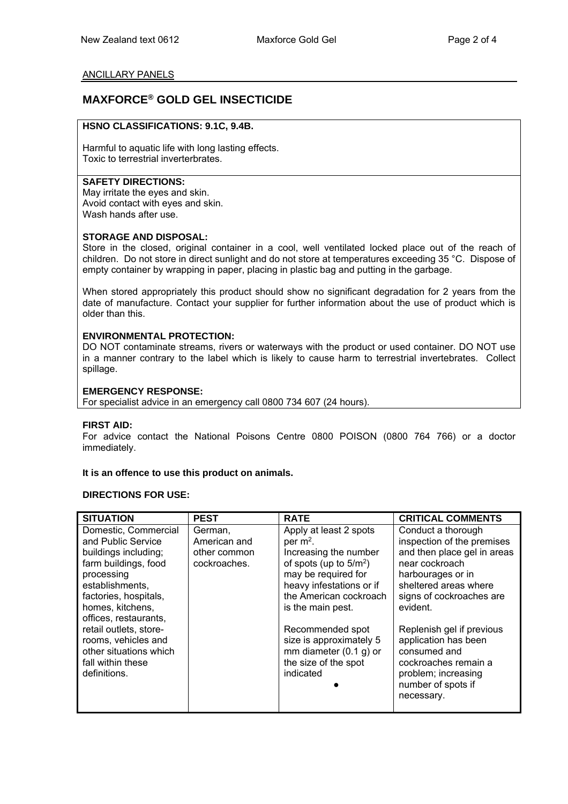#### ANCILLARY PANELS

### **MAXFORCE® GOLD GEL INSECTICIDE**

#### **HSNO CLASSIFICATIONS: 9.1C, 9.4B.**

Harmful to aquatic life with long lasting effects. Toxic to terrestrial inverterbrates.

#### **SAFETY DIRECTIONS:**

May irritate the eyes and skin. Avoid contact with eyes and skin. Wash hands after use.

#### **STORAGE AND DISPOSAL:**

Store in the closed, original container in a cool, well ventilated locked place out of the reach of children. Do not store in direct sunlight and do not store at temperatures exceeding 35 °C. Dispose of empty container by wrapping in paper, placing in plastic bag and putting in the garbage.

When stored appropriately this product should show no significant degradation for 2 years from the date of manufacture. Contact your supplier for further information about the use of product which is older than this.

#### **ENVIRONMENTAL PROTECTION:**

DO NOT contaminate streams, rivers or waterways with the product or used container. DO NOT use in a manner contrary to the label which is likely to cause harm to terrestrial invertebrates. Collect spillage.

#### **EMERGENCY RESPONSE:**

For specialist advice in an emergency call 0800 734 607 (24 hours).

#### **FIRST AID:**

For advice contact the National Poisons Centre 0800 POISON (0800 764 766) or a doctor immediately.

#### **It is an offence to use this product on animals.**

#### **DIRECTIONS FOR USE:**

| <b>SITUATION</b>                                                                                                                                                                                  | <b>PEST</b>                                             | <b>RATE</b>                                                                                                                                                                                  | <b>CRITICAL COMMENTS</b>                                                                                                                                                                |
|---------------------------------------------------------------------------------------------------------------------------------------------------------------------------------------------------|---------------------------------------------------------|----------------------------------------------------------------------------------------------------------------------------------------------------------------------------------------------|-----------------------------------------------------------------------------------------------------------------------------------------------------------------------------------------|
| Domestic, Commercial<br>and Public Service<br>buildings including;<br>farm buildings, food<br>processing<br>establishments.<br>factories, hospitals,<br>homes, kitchens,<br>offices, restaurants, | German.<br>American and<br>other common<br>cockroaches. | Apply at least 2 spots<br>per $m2$ .<br>Increasing the number<br>of spots (up to $5/m^2$ )<br>may be required for<br>heavy infestations or if<br>the American cockroach<br>is the main pest. | Conduct a thorough<br>inspection of the premises<br>and then place gel in areas<br>near cockroach<br>harbourages or in<br>sheltered areas where<br>signs of cockroaches are<br>evident. |
| retail outlets, store-<br>rooms, vehicles and<br>other situations which<br>fall within these<br>definitions.                                                                                      |                                                         | Recommended spot<br>size is approximately 5<br>mm diameter $(0.1 g)$ or<br>the size of the spot<br>indicated                                                                                 | Replenish gel if previous<br>application has been<br>consumed and<br>cockroaches remain a<br>problem; increasing<br>number of spots if<br>necessary.                                    |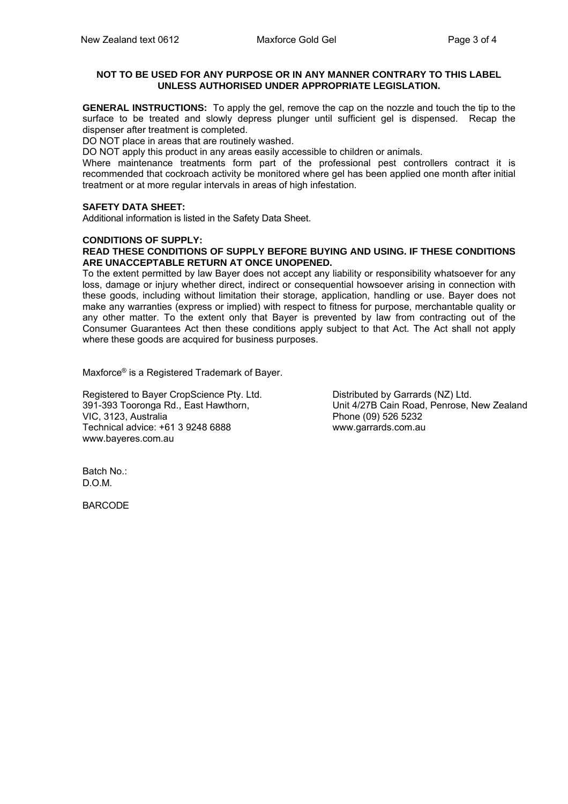#### **NOT TO BE USED FOR ANY PURPOSE OR IN ANY MANNER CONTRARY TO THIS LABEL UNLESS AUTHORISED UNDER APPROPRIATE LEGISLATION.**

**GENERAL INSTRUCTIONS:** To apply the gel, remove the cap on the nozzle and touch the tip to the surface to be treated and slowly depress plunger until sufficient gel is dispensed. Recap the dispenser after treatment is completed.

DO NOT place in areas that are routinely washed.

DO NOT apply this product in any areas easily accessible to children or animals.

Where maintenance treatments form part of the professional pest controllers contract it is recommended that cockroach activity be monitored where gel has been applied one month after initial treatment or at more regular intervals in areas of high infestation.

#### **SAFETY DATA SHEET:**

Additional information is listed in the Safety Data Sheet.

#### **CONDITIONS OF SUPPLY:**

#### **READ THESE CONDITIONS OF SUPPLY BEFORE BUYING AND USING. IF THESE CONDITIONS ARE UNACCEPTABLE RETURN AT ONCE UNOPENED.**

To the extent permitted by law Bayer does not accept any liability or responsibility whatsoever for any loss, damage or injury whether direct, indirect or consequential howsoever arising in connection with these goods, including without limitation their storage, application, handling or use. Bayer does not make any warranties (express or implied) with respect to fitness for purpose, merchantable quality or any other matter. To the extent only that Bayer is prevented by law from contracting out of the Consumer Guarantees Act then these conditions apply subject to that Act. The Act shall not apply where these goods are acquired for business purposes.

Maxforce® is a Registered Trademark of Bayer.

Registered to Bayer CropScience Pty. Ltd. 391-393 Tooronga Rd., East Hawthorn, VIC, 3123, Australia Technical advice: +61 3 9248 6888 www.bayeres.com.au

Distributed by Garrards (NZ) Ltd. Unit 4/27B Cain Road, Penrose, New Zealand Phone (09) 526 5232 www.garrards.com.au

Batch No.: D.O.M.

BARCODE